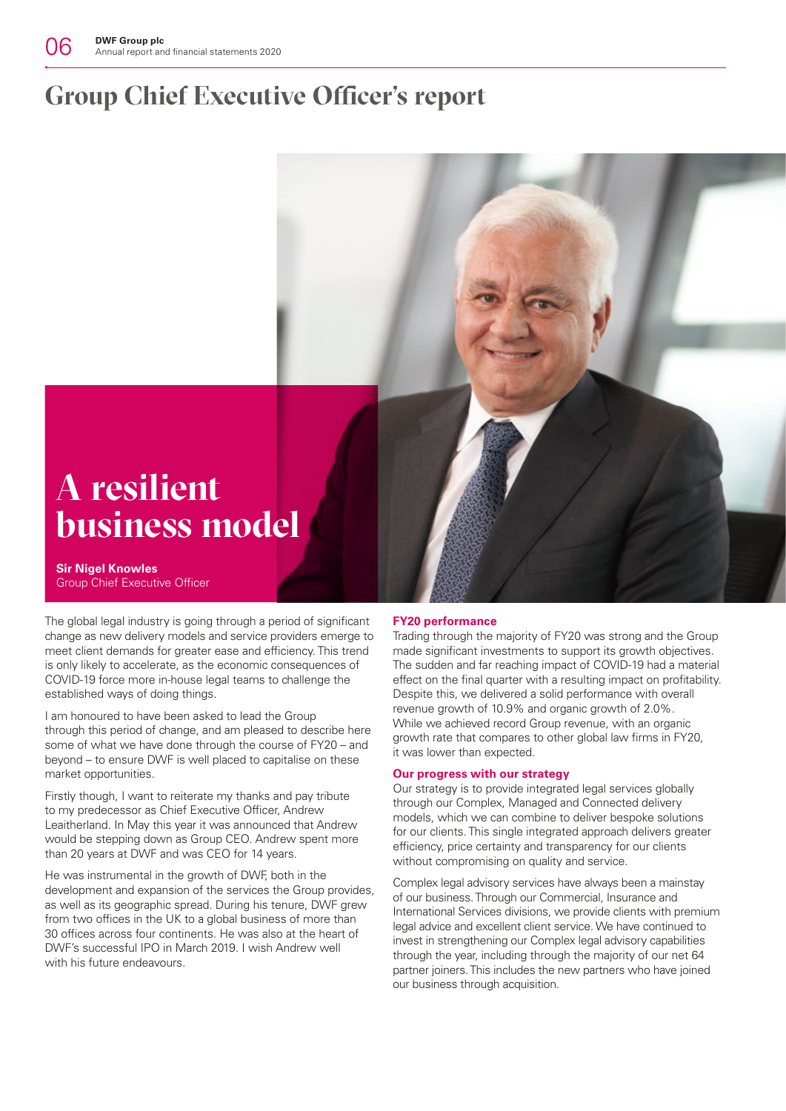# **Group Chief Executive Officer's report**



**Sir Nigel Knowles** Group Chief Executive Officer The global legal industry is going through a period of significant change as new delivery models and service providers emerge to meet client demands for greater ease and efficiency. This trend is only likely to accelerate, as the economic consequences of

COVID-19 force more in-house legal teams to challenge the

established ways of doing things.

I am honoured to have been asked to lead the Group through this period of change, and am pleased to describe here some of what we have done through the course of FY20 – and beyond – to ensure DWF is well placed to capitalise on these market opportunities.

Firstly though, I want to reiterate my thanks and pay tribute to my predecessor as Chief Executive Officer, Andrew Leaitherland. In May this year it was announced that Andrew would be stepping down as Group CEO. Andrew spent more than 20 years at DWF and was CEO for 14 years.

He was instrumental in the growth of DWF, both in the development and expansion of the services the Group provides, as well as its geographic spread. During his tenure, DWF grew from two offices in the UK to a global business of more than 30 offices across four continents. He was also at the heart of DWF's successful IPO in March 2019. I wish Andrew well with his future endeavours.

### **FY20 performance**

Trading through the majority of FY20 was strong and the Group made significant investments to support its growth objectives. The sudden and far reaching impact of COVID-19 had a material effect on the final quarter with a resulting impact on profitability. Despite this, we delivered a solid performance with overall revenue growth of 10.9% and organic growth of 2.0%. While we achieved record Group revenue, with an organic growth rate that compares to other global law firms in FY20, it was lower than expected.

### **Our progress with our strategy**

Our strategy is to provide integrated legal services globally through our Complex, Managed and Connected delivery models, which we can combine to deliver bespoke solutions for our clients. This single integrated approach delivers greater efficiency, price certainty and transparency for our clients without compromising on quality and service.

Complex legal advisory services have always been a mainstay of our business. Through our Commercial, Insurance and International Services divisions, we provide clients with premium legal advice and excellent client service. We have continued to invest in strengthening our Complex legal advisory capabilities through the year, including through the majority of our net 64 partner joiners. This includes the new partners who have joined our business through acquisition.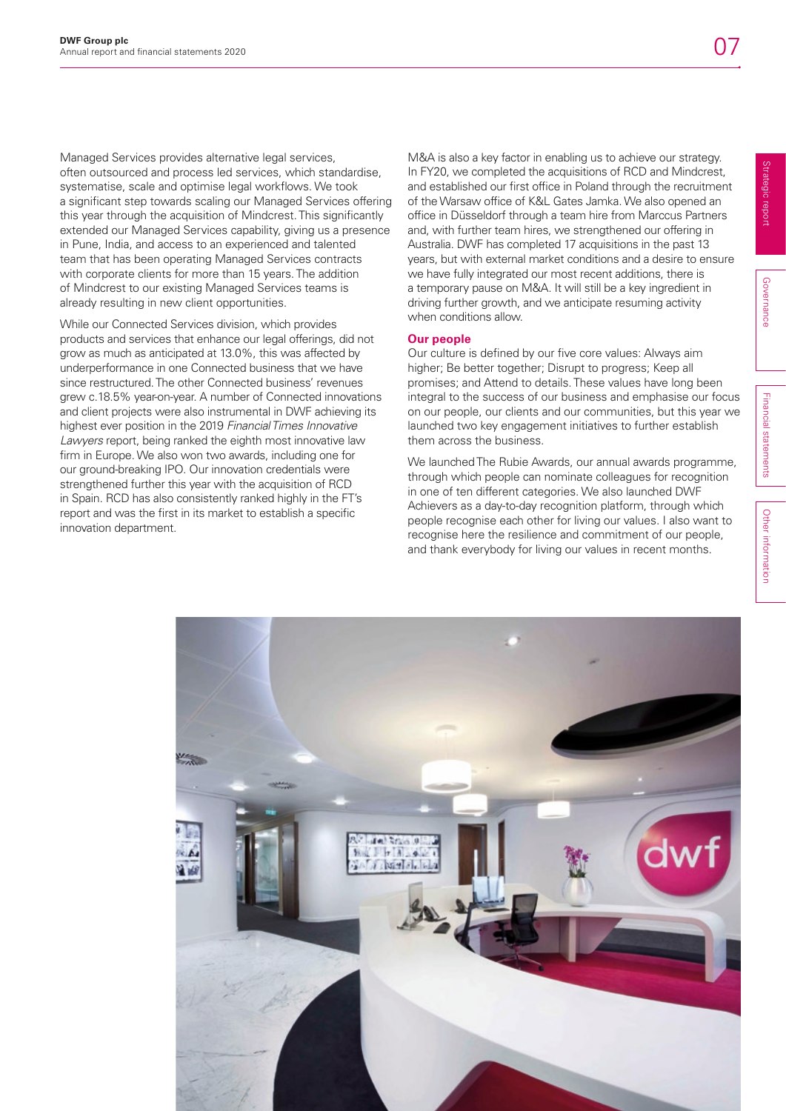Managed Services provides alternative legal services, often outsourced and process led services, which standardise, systematise, scale and optimise legal workflows. We took a significant step towards scaling our Managed Services offering this year through the acquisition of Mindcrest. This significantly extended our Managed Services capability, giving us a presence in Pune, India, and access to an experienced and talented team that has been operating Managed Services contracts with corporate clients for more than 15 years. The addition of Mindcrest to our existing Managed Services teams is already resulting in new client opportunities.

While our Connected Services division, which provides products and services that enhance our legal offerings, did not grow as much as anticipated at 13.0%, this was affected by underperformance in one Connected business that we have since restructured. The other Connected business' revenues grew c.18.5% year-on-year. A number of Connected innovations and client projects were also instrumental in DWF achieving its highest ever position in the 2019 *Financial Times Innovative Lawyers* report, being ranked the eighth most innovative law firm in Europe. We also won two awards, including one for our ground-breaking IPO. Our innovation credentials were strengthened further this year with the acquisition of RCD in Spain. RCD has also consistently ranked highly in the FT's report and was the first in its market to establish a specific innovation department.

M&A is also a key factor in enabling us to achieve our strategy. In FY20, we completed the acquisitions of RCD and Mindcrest, and established our first office in Poland through the recruitment of the Warsaw office of K&L Gates Jamka. We also opened an office in Düsseldorf through a team hire from Marccus Partners and, with further team hires, we strengthened our offering in Australia. DWF has completed 17 acquisitions in the past 13 years, but with external market conditions and a desire to ensure we have fully integrated our most recent additions, there is a temporary pause on M&A. It will still be a key ingredient in driving further growth, and we anticipate resuming activity when conditions allow.

### **Our people**

Our culture is defined by our five core values: Always aim higher; Be better together; Disrupt to progress; Keep all promises; and Attend to details. These values have long been integral to the success of our business and emphasise our focus on our people, our clients and our communities, but this year we launched two key engagement initiatives to further establish them across the business.

We launched The Rubie Awards, our annual awards programme, through which people can nominate colleagues for recognition in one of ten different categories. We also launched DWF Achievers as a day-to-day recognition platform, through which people recognise each other for living our values. I also want to recognise here the resilience and commitment of our people, and thank everybody for living our values in recent months.

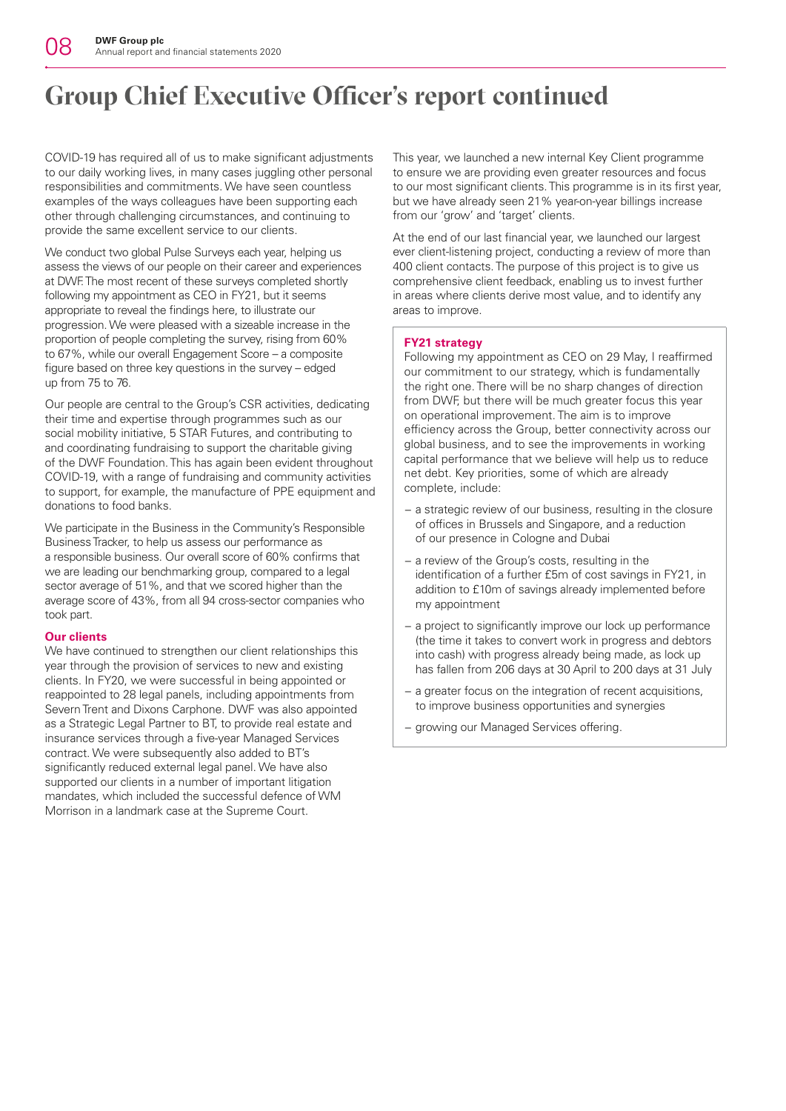# **Group Chief Executive Officer's report continued**

COVID-19 has required all of us to make significant adjustments to our daily working lives, in many cases juggling other personal responsibilities and commitments. We have seen countless examples of the ways colleagues have been supporting each other through challenging circumstances, and continuing to provide the same excellent service to our clients.

We conduct two global Pulse Surveys each year, helping us assess the views of our people on their career and experiences at DWF. The most recent of these surveys completed shortly following my appointment as CEO in FY21, but it seems appropriate to reveal the findings here, to illustrate our progression. We were pleased with a sizeable increase in the proportion of people completing the survey, rising from 60% to 67%, while our overall Engagement Score – a composite figure based on three key questions in the survey – edged up from 75 to 76.

Our people are central to the Group's CSR activities, dedicating their time and expertise through programmes such as our social mobility initiative, 5 STAR Futures, and contributing to and coordinating fundraising to support the charitable giving of the DWF Foundation. This has again been evident throughout COVID-19, with a range of fundraising and community activities to support, for example, the manufacture of PPE equipment and donations to food banks.

We participate in the Business in the Community's Responsible Business Tracker, to help us assess our performance as a responsible business. Our overall score of 60% confirms that we are leading our benchmarking group, compared to a legal sector average of 51%, and that we scored higher than the average score of 43%, from all 94 cross-sector companies who took part.

## **Our clients**

We have continued to strengthen our client relationships this year through the provision of services to new and existing clients. In FY20, we were successful in being appointed or reappointed to 28 legal panels, including appointments from Severn Trent and Dixons Carphone. DWF was also appointed as a Strategic Legal Partner to BT, to provide real estate and insurance services through a five-year Managed Services contract. We were subsequently also added to BT's significantly reduced external legal panel. We have also supported our clients in a number of important litigation mandates, which included the successful defence of WM Morrison in a landmark case at the Supreme Court.

This year, we launched a new internal Key Client programme to ensure we are providing even greater resources and focus to our most significant clients. This programme is in its first year, but we have already seen 21% year-on-year billings increase from our 'grow' and 'target' clients.

At the end of our last financial year, we launched our largest ever client-listening project, conducting a review of more than 400 client contacts. The purpose of this project is to give us comprehensive client feedback, enabling us to invest further in areas where clients derive most value, and to identify any areas to improve.

## **FY21 strategy**

Following my appointment as CEO on 29 May, I reaffirmed our commitment to our strategy, which is fundamentally the right one. There will be no sharp changes of direction from DWF, but there will be much greater focus this year on operational improvement. The aim is to improve efficiency across the Group, better connectivity across our global business, and to see the improvements in working capital performance that we believe will help us to reduce net debt. Key priorities, some of which are already complete, include:

- − a strategic review of our business, resulting in the closure of offices in Brussels and Singapore, and a reduction of our presence in Cologne and Dubai
- − a review of the Group's costs, resulting in the identification of a further £5m of cost savings in FY21, in addition to £10m of savings already implemented before my appointment
- − a project to significantly improve our lock up performance (the time it takes to convert work in progress and debtors into cash) with progress already being made, as lock up has fallen from 206 days at 30 April to 200 days at 31 July
- − a greater focus on the integration of recent acquisitions, to improve business opportunities and synergies
- − growing our Managed Services offering.